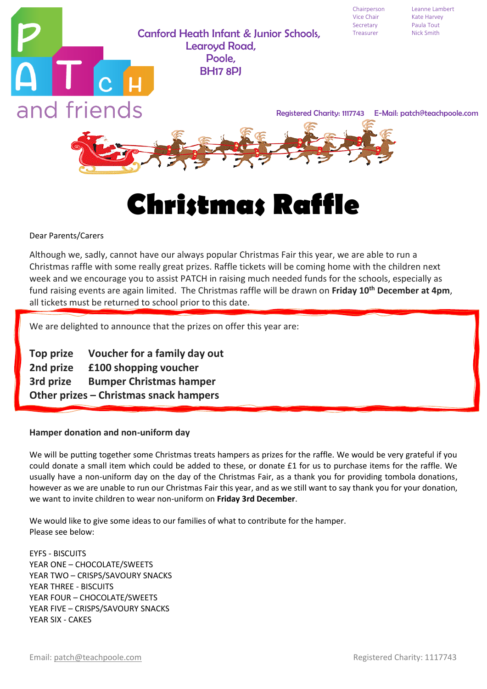Chairperson Leanne Lambert

### Canford Heath Infant & Junior Schools, Treasurer Learoyd Road, Poole, BH17 8PJ



# **Christmas Raffle**

#### Dear Parents/Carers

Although we, sadly, cannot have our always popular Christmas Fair this year, we are able to run a Christmas raffle with some really great prizes. Raffle tickets will be coming home with the children next week and we encourage you to assist PATCH in raising much needed funds for the schools, especially as fund raising events are again limited. The Christmas raffle will be drawn on **Friday 10 th December at 4pm**, all tickets must be returned to school prior to this date.

We are delighted to announce that the prizes on offer this year are:

**Top prize Voucher for a family day out 2nd prize £100 shopping voucher 3rd prize Bumper Christmas hamper Other prizes – Christmas snack hampers**

#### **Hamper donation and non-uniform day**

We will be putting together some Christmas treats hampers as prizes for the raffle. We would be very grateful if you could donate a small item which could be added to these, or donate £1 for us to purchase items for the raffle. We usually have a non-uniform day on the day of the Christmas Fair, as a thank you for providing tombola donations, however as we are unable to run our Christmas Fair this year, and as we still want to say thank you for your donation, we want to invite children to wear non-uniform on **Friday 3rd December**.

We would like to give some ideas to our families of what to contribute for the hamper. Please see below:

EYFS - BISCUITS YEAR ONE – CHOCOLATE/SWEETS YEAR TWO – CRISPS/SAVOURY SNACKS YEAR THREE - BISCUITS YEAR FOUR – CHOCOLATE/SWEETS YEAR FIVE – CRISPS/SAVOURY SNACKS YEAR SIX - CAKES